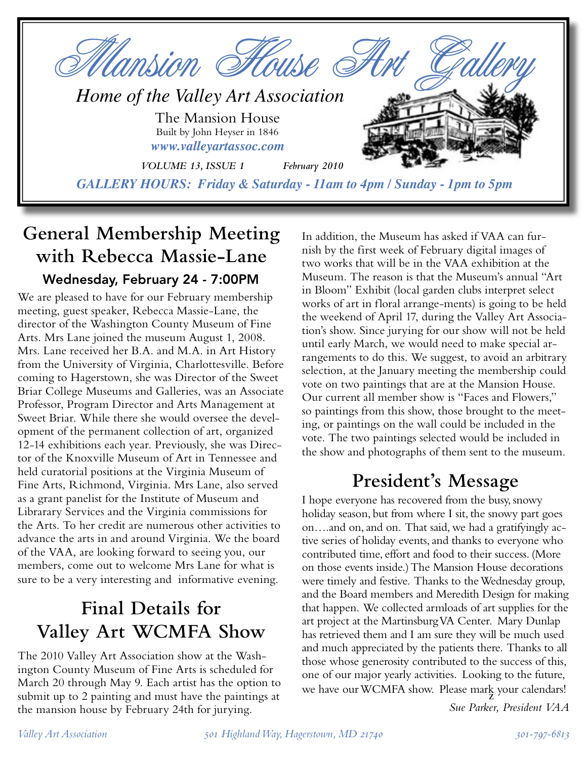

# **General Membership Meeting with Rebecca Massie-Lane** Wednesday, February 24 - 7:00PM

We are pleased to have for our February membership meeting, guest speaker, Rebecca Massie-Lane, the director of the Washington County Museum of Fine Arts. Mrs Lane joined the museum August 1, 2008. Mrs. Lane received her B.A. and M.A. in Art History from the University of Virginia, Charlottesville. Before coming to Hagerstown, she was Director of the Sweet Briar College Museums and Galleries, was an Associate Professor, Program Director and Arts Management at Sweet Briar. While there she would oversee the development of the permanent collection of art, organized 12-14 exhibitions each year. Previously, she was Director of the Knoxville Museum of Art in Tennessee and held curatorial positions at the Virginia Museum of Fine Arts, Richmond, Virginia. Mrs Lane, also served as a grant panelist for the Institute of Museum and Librarary Services and the Virginia commissions for the Arts. To her credit are numerous other activities to advance the arts in and around Virginia. We the board of the VAA, are looking forward to seeing you, our members, come out to welcome Mrs Lane for what is sure to be a very interesting and informative evening.

# **Final Details for Valley Art WCMFA Show**

The 2010 Valley Art Association show at the Washington County Museum of Fine Arts is scheduled for March 20 through May 9. Each artist has the option to submit up to 2 painting and must have the paintings at the mansion house by February 24th for jurying.

In addition, the Museum has asked if VAA can furnish by the first week of February digital images of two works that will be in the VAA exhibition at the Museum. The reason is that the Museum's annual "Art in Bloom" Exhibit (local garden clubs interpret select works of art in floral arrange-ments) is going to be held the weekend of April 17, during the Valley Art Association's show. Since jurying for our show will not be held until early March, we would need to make special arrangements to do this. We suggest, to avoid an arbitrary selection, at the January meeting the membership could vote on two paintings that are at the Mansion House. Our current all member show is "Faces and Flowers," so paintings from this show, those brought to the meeting, or paintings on the wall could be included in the vote. The two paintings selected would be included in the show and photographs of them sent to the museum.

# **President's Message**

I hope everyone has recovered from the busy, snowy holiday season, but from where I sit, the snowy part goes on….and on, and on. That said, we had a gratifyingly active series of holiday events, and thanks to everyone who contributed time, effort and food to their success. (More on those events inside.) The Mansion House decorations were timely and festive. Thanks to the Wednesday group, and the Board members and Meredith Design for making that happen. We collected armloads of art supplies for the art project at the Martinsburg VA Center. Mary Dunlap has retrieved them and I am sure they will be much used and much appreciated by the patients there. Thanks to all those whose generosity contributed to the success of this, one of our major yearly activities. Looking to the future, we have our WCMFA show. Please  $\max_{\mathbf{Z}}$  your calendars!

*Sue Parker, President VAA*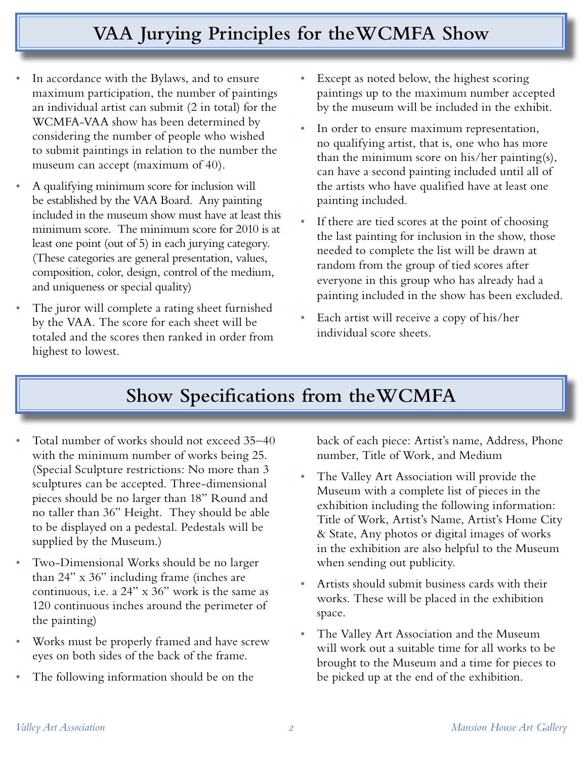# **VAA Jurying Principles for theWCMFA Show**

- In accordance with the Bylaws, and to ensure maximum participation, the number of paintings an individual artist can submit (2 in total) for the WCMFA-VAA show has been determined by considering the number of people who wished to submit paintings in relation to the number the museum can accept (maximum of 40).
- *•* A qualifying minimum score for inclusion will be established by the VAA Board. Any painting included in the museum show must have at least this minimum score. The minimum score for 2010 is at least one point (out of 5) in each jurying category. (These categories are general presentation, values, composition, color, design, control of the medium, and uniqueness or special quality)
- The juror will complete a rating sheet furnished by the VAA. The score for each sheet will be totaled and the scores then ranked in order from highest to lowest.
- Except as noted below, the highest scoring paintings up to the maximum number accepted by the museum will be included in the exhibit.
- In order to ensure maximum representation, no qualifying artist, that is, one who has more than the minimum score on his/her painting(s), can have a second painting included until all of the artists who have qualified have at least one painting included.
- If there are tied scores at the point of choosing the last painting for inclusion in the show, those needed to complete the list will be drawn at random from the group of tied scores after everyone in this group who has already had a painting included in the show has been excluded.
- *•* Each artist will receive a copy of his/her individual score sheets.

# **Show Specifications from theWCMFA**

- Total number of works should not exceed 35-40 with the minimum number of works being 25. (Special Sculpture restrictions: No more than 3 sculptures can be accepted. Three-dimensional pieces should be no larger than 18" Round and no taller than 36" Height. They should be able to be displayed on a pedestal. Pedestals will be supplied by the Museum.)
- *•* Two-Dimensional Works should be no larger than 24" x 36" including frame (inches are continuous, i.e. a 24" x 36" work is the same as 120 continuous inches around the perimeter of the painting)
- *•* Works must be properly framed and have screw eyes on both sides of the back of the frame.
- The following information should be on the

back of each piece: Artist's name, Address, Phone number, Title of Work, and Medium

- *•* The Valley Art Association will provide the Museum with a complete list of pieces in the exhibition including the following information: Title of Work, Artist's Name, Artist's Home City & State, Any photos or digital images of works in the exhibition are also helpful to the Museum when sending out publicity.
- *•* Artists should submit business cards with their works. These will be placed in the exhibition space.
- *•* The Valley Art Association and the Museum will work out a suitable time for all works to be brought to the Museum and a time for pieces to be picked up at the end of the exhibition.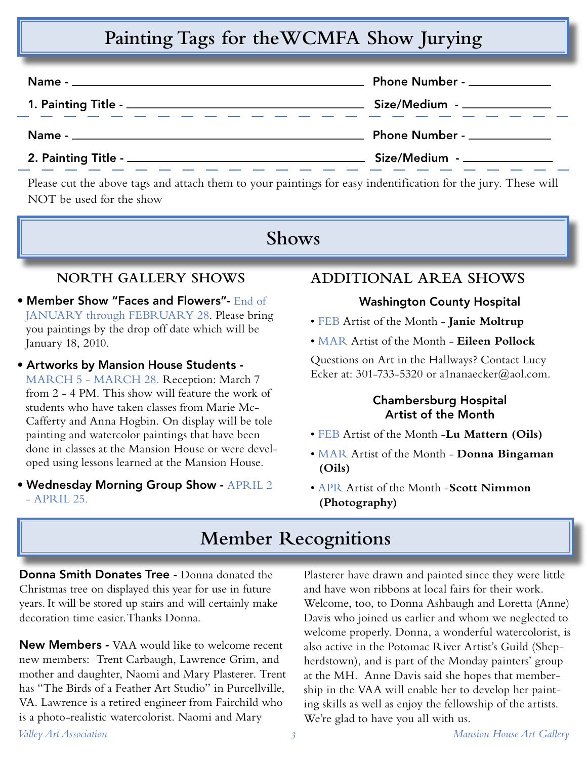# **Painting Tags for theWCMFA Show Jurying**

|                                                                                                                         | Phone Number - _____________ |  |
|-------------------------------------------------------------------------------------------------------------------------|------------------------------|--|
|                                                                                                                         | Size/Medium - ______________ |  |
| <u> 2002 - An Aonaic Aonaic Aonaic Aonaic Aonaic Aonaic Aonaic Aonaic Aonaic Aonaic Aonaic Aonaic Aonaic Aonaic Aon</u> |                              |  |
|                                                                                                                         | Phone Number - ____________  |  |

Please cut the above tags and attach them to your paintings for easy indentification for the jury. These will NOT be used for the show

## **Shows**

### **NORTH GALLERY SHOWS**

- Member Show "Faces and Flowers"- End of JANUARY through FEBRUARY 28. Please bring you paintings by the drop off date which will be January 18, 2010.
- Artworks by Mansion House Students MARCH 5 - MARCH 28. Reception: March 7 from 2 - 4 PM. This show will feature the work of students who have taken classes from Marie Mc-Cafferty and Anna Hogbin. On display will be tole painting and watercolor paintings that have been done in classes at the Mansion House or were developed using lessons learned at the Mansion House.
- Wednesday Morning Group Show APRIL 2 - APRIL 25.

## **ADDITIONAL AREA SHOWS**

#### Washington County Hospital

- FEB Artist of the Month **Janie Moltrup**
- MAR Artist of the Month **Eileen Pollock**

Questions on Art in the Hallways? Contact Lucy Ecker at: 301-733-5320 or a1nanaecker@aol.com.

#### Chambersburg Hospital Artist of the Month

- FEB Artist of the Month -**Lu Mattern (Oils)**
- MAR Artist of the Month **Donna Bingaman (Oils)**
- APR Artist of the Month -**Scott Nimmon (Photography)**

# **Member Recognitions**

Donna Smith Donates Tree - Donna donated the Christmas tree on displayed this year for use in future years. It will be stored up stairs and will certainly make decoration time easier. Thanks Donna.

*Valley Art Association 3 Mansion House Art Gallery* New Members - VAA would like to welcome recent new members: Trent Carbaugh, Lawrence Grim, and mother and daughter, Naomi and Mary Plasterer. Trent has "The Birds of a Feather Art Studio" in Purcellville, VA. Lawrence is a retired engineer from Fairchild who is a photo-realistic watercolorist. Naomi and Mary

Plasterer have drawn and painted since they were little and have won ribbons at local fairs for their work. Welcome, too, to Donna Ashbaugh and Loretta (Anne) Davis who joined us earlier and whom we neglected to welcome properly. Donna, a wonderful watercolorist, is also active in the Potomac River Artist's Guild (Shepherdstown), and is part of the Monday painters' group at the MH. Anne Davis said she hopes that membership in the VAA will enable her to develop her painting skills as well as enjoy the fellowship of the artists. We're glad to have you all with us.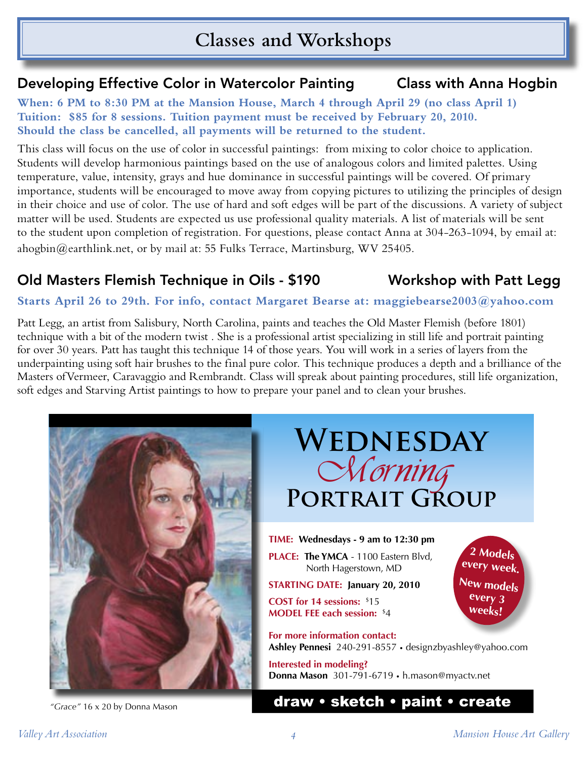# **Classes and Workshops**

## Developing Effective Color in Watercolor Painting Class with Anna Hogbin

**When: 6 PM to 8:30 PM at the Mansion House, March 4 through April 29 (no class April 1) Tuition: \$85 for 8 sessions. Tuition payment must be received by February 20, 2010. Should the class be cancelled, all payments will be returned to the student.**

This class will focus on the use of color in successful paintings: from mixing to color choice to application. Students will develop harmonious paintings based on the use of analogous colors and limited palettes. Using temperature, value, intensity, grays and hue dominance in successful paintings will be covered. Of primary importance, students will be encouraged to move away from copying pictures to utilizing the principles of design in their choice and use of color. The use of hard and soft edges will be part of the discussions. A variety of subject matter will be used. Students are expected us use professional quality materials. A list of materials will be sent to the student upon completion of registration. For questions, please contact Anna at 304-263-1094, by email at: ahogbin@earthlink.net, or by mail at: 55 Fulks Terrace, Martinsburg, WV 25405.

## Old Masters Flemish Technique in Oils - \$190 Workshop with Patt Legg

#### **Starts April 26 to 29th. For info, contact Margaret Bearse at: maggiebearse2003@yahoo.com**

Patt Legg, an artist from Salisbury, North Carolina, paints and teaches the Old Master Flemish (before 1801) technique with a bit of the modern twist . She is a professional artist specializing in still life and portrait painting for over 30 years. Patt has taught this technique 14 of those years. You will work in a series of layers from the underpainting using soft hair brushes to the final pure color. This technique produces a depth and a brilliance of the Masters ofVermeer, Caravaggio and Rembrandt. Class will spreak about painting procedures, still life organization, soft edges and Starving Artist paintings to how to prepare your panel and to clean your brushes.



## *"Grace"* 16 x 20 by Donna Mason draw • sketch • paint • create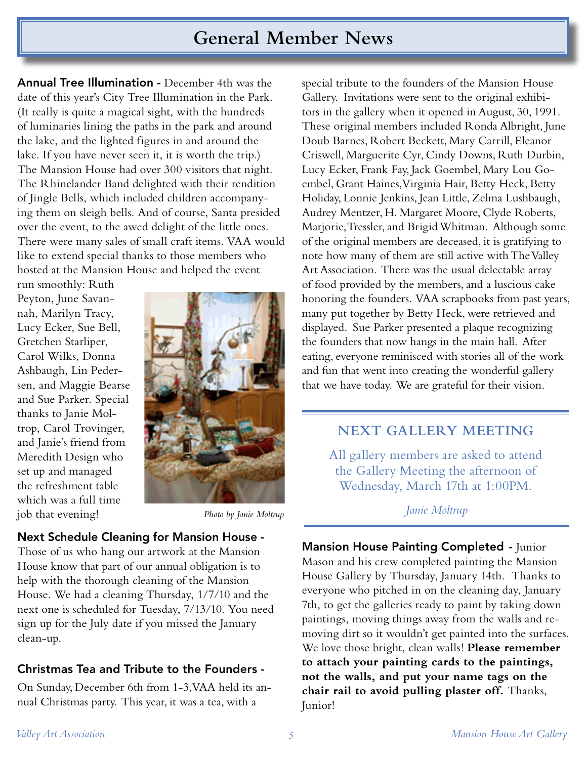## **General Member News**

Annual Tree Illumination - December 4th was the date of this year's City Tree Illumination in the Park. (It really is quite a magical sight, with the hundreds of luminaries lining the paths in the park and around the lake, and the lighted figures in and around the lake. If you have never seen it, it is worth the trip.) The Mansion House had over 300 visitors that night. The Rhinelander Band delighted with their rendition of Jingle Bells, which included children accompanying them on sleigh bells. And of course, Santa presided over the event, to the awed delight of the little ones. There were many sales of small craft items. VAA would like to extend special thanks to those members who hosted at the Mansion House and helped the event

run smoothly: Ruth Peyton, June Savannah, Marilyn Tracy, Lucy Ecker, Sue Bell, Gretchen Starliper, Carol Wilks, Donna Ashbaugh, Lin Pedersen, and Maggie Bearse and Sue Parker. Special thanks to Janie Moltrop, Carol Trovinger, and Janie's friend from Meredith Design who set up and managed the refreshment table which was a full time job that evening!



*Photo by Janie Moltrup*

#### Next Schedule Cleaning for Mansion House -

Those of us who hang our artwork at the Mansion House know that part of our annual obligation is to help with the thorough cleaning of the Mansion House. We had a cleaning Thursday, 1/7/10 and the next one is scheduled for Tuesday, 7/13/10. You need sign up for the July date if you missed the January clean-up.

## Christmas Tea and Tribute to the Founders -

On Sunday, December 6th from 1-3, VAA held its annual Christmas party. This year, it was a tea, with a

special tribute to the founders of the Mansion House Gallery. Invitations were sent to the original exhibitors in the gallery when it opened in August, 30, 1991. These original members included Ronda Albright, June Doub Barnes, Robert Beckett, Mary Carrill, Eleanor Criswell, Marguerite Cyr, Cindy Downs, Ruth Durbin, Lucy Ecker, Frank Fay, Jack Goembel, Mary Lou Goembel, Grant Haines, Virginia Hair, Betty Heck, Betty Holiday, Lonnie Jenkins, Jean Little, Zelma Lushbaugh, Audrey Mentzer, H. Margaret Moore, Clyde Roberts, Marjorie, Tressler, and Brigid Whitman. Although some of the original members are deceased, it is gratifying to note how many of them are still active with The Valley Art Association. There was the usual delectable array of food provided by the members, and a luscious cake honoring the founders. VAA scrapbooks from past years, many put together by Betty Heck, were retrieved and displayed. Sue Parker presented a plaque recognizing the founders that now hangs in the main hall. After eating, everyone reminisced with stories all of the work and fun that went into creating the wonderful gallery that we have today. We are grateful for their vision.

## **NEXT GALLERY MEETING**

All gallery members are asked to attend the Gallery Meeting the afternoon of Wednesday, March 17th at 1:00PM.

#### *Janie Moltrup*

Mansion House Painting Completed - Junior Mason and his crew completed painting the Mansion House Gallery by Thursday, January 14th. Thanks to everyone who pitched in on the cleaning day, January 7th, to get the galleries ready to paint by taking down paintings, moving things away from the walls and removing dirt so it wouldn't get painted into the surfaces. We love those bright, clean walls! **Please remember to attach your painting cards to the paintings, not the walls, and put your name tags on the chair rail to avoid pulling plaster off.** Thanks, Junior!